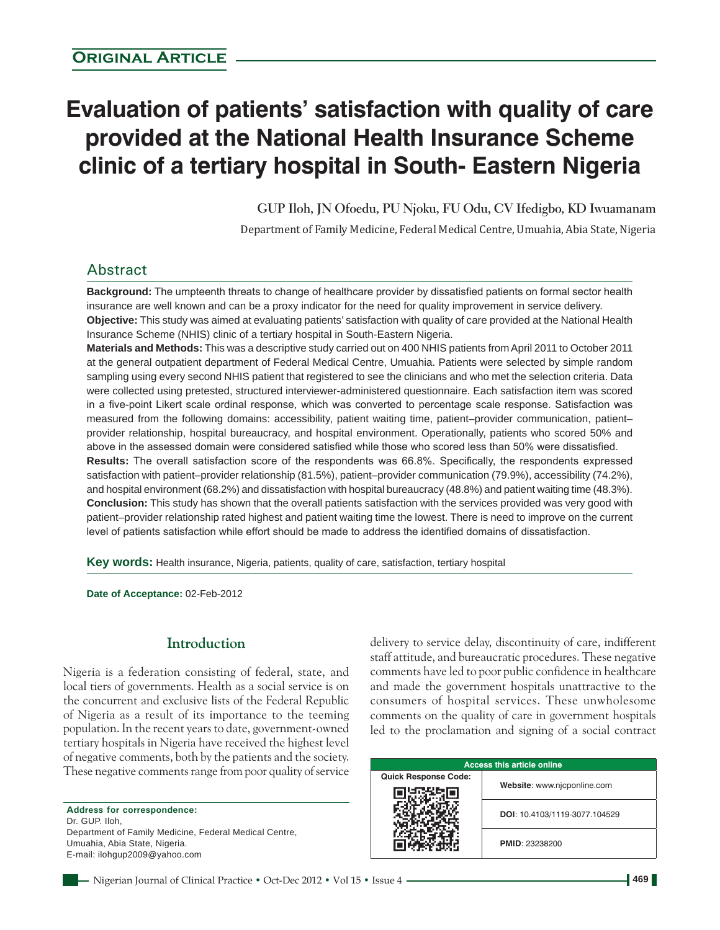# **Evaluation of patients' satisfaction with quality of care provided at the National Health Insurance Scheme clinic of a tertiary hospital in South- Eastern Nigeria**

**GUP Iloh, JN Ofoedu, PU Njoku, FU Odu, CV Ifedigbo, KD Iwuamanam**

Department of Family Medicine, Federal Medical Centre, Umuahia, Abia State, Nigeria

# Abstract

**Background:** The umpteenth threats to change of healthcare provider by dissatisfied patients on formal sector health insurance are well known and can be a proxy indicator for the need for quality improvement in service delivery. **Objective:** This study was aimed at evaluating patients' satisfaction with quality of care provided at the National Health Insurance Scheme (NHIS) clinic of a tertiary hospital in South-Eastern Nigeria.

**Materials and Methods:** This was a descriptive study carried out on 400 NHIS patients from April 2011 to October 2011 at the general outpatient department of Federal Medical Centre, Umuahia. Patients were selected by simple random sampling using every second NHIS patient that registered to see the clinicians and who met the selection criteria. Data were collected using pretested, structured interviewer-administered questionnaire. Each satisfaction item was scored in a five-point Likert scale ordinal response, which was converted to percentage scale response. Satisfaction was measured from the following domains: accessibility, patient waiting time, patient–provider communication, patient– provider relationship, hospital bureaucracy, and hospital environment. Operationally, patients who scored 50% and above in the assessed domain were considered satisfied while those who scored less than 50% were dissatisfied. **Results:** The overall satisfaction score of the respondents was 66.8%. Specifically, the respondents expressed satisfaction with patient–provider relationship (81.5%), patient–provider communication (79.9%), accessibility (74.2%), and hospital environment (68.2%) and dissatisfaction with hospital bureaucracy (48.8%) and patient waiting time (48.3%). **Conclusion:** This study has shown that the overall patients satisfaction with the services provided was very good with patient–provider relationship rated highest and patient waiting time the lowest. There is need to improve on the current level of patients satisfaction while effort should be made to address the identified domains of dissatisfaction.

**Key words:** Health insurance, Nigeria, patients, quality of care, satisfaction, tertiary hospital

**Date of Acceptance:** 02-Feb-2012

## **Introduction**

Nigeria is a federation consisting of federal, state, and local tiers of governments. Health as a social service is on the concurrent and exclusive lists of the Federal Republic of Nigeria as a result of its importance to the teeming population. In the recent years to date, government-owned tertiary hospitals in Nigeria have received the highest level of negative comments, both by the patients and the society. These negative comments range from poor quality of service

**Address for correspondence:** Dr. GUP. Iloh, Department of Family Medicine, Federal Medical Centre, Umuahia, Abia State, Nigeria. E-mail: ilohgup2009@yahoo.com

delivery to service delay, discontinuity of care, indifferent staff attitude, and bureaucratic procedures. These negative comments have led to poor public confidence in healthcare and made the government hospitals unattractive to the consumers of hospital services. These unwholesome comments on the quality of care in government hospitals led to the proclamation and signing of a social contract

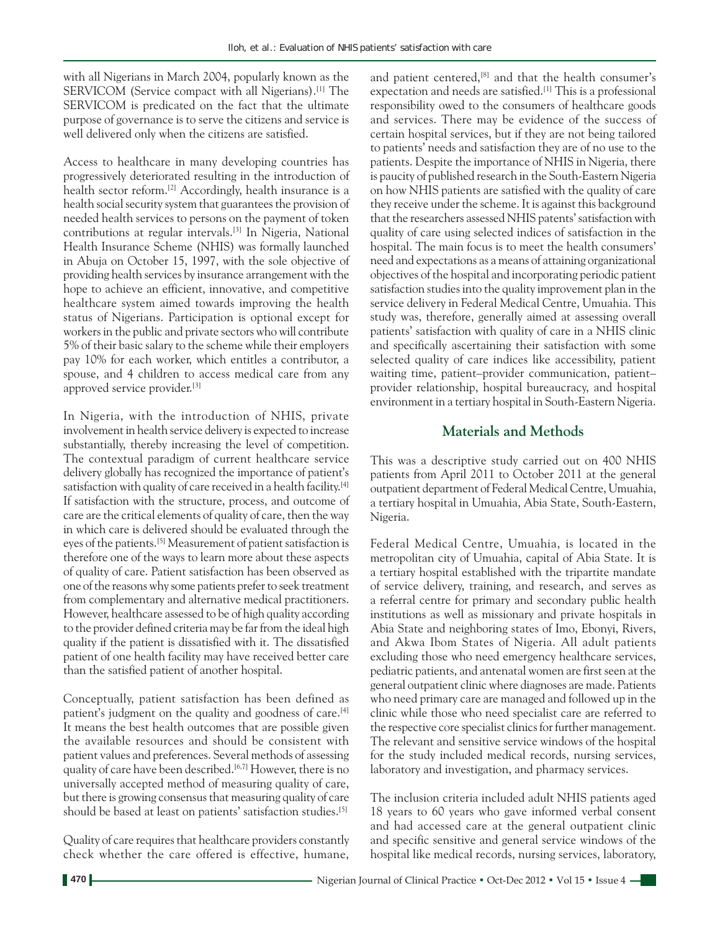with all Nigerians in March 2004, popularly known as the SERVICOM (Service compact with all Nigerians).<sup>[1]</sup> The SERVICOM is predicated on the fact that the ultimate purpose of governance is to serve the citizens and service is well delivered only when the citizens are satisfied.

Access to healthcare in many developing countries has progressively deteriorated resulting in the introduction of health sector reform.<sup>[2]</sup> Accordingly, health insurance is a health social security system that guarantees the provision of needed health services to persons on the payment of token contributions at regular intervals.[3] In Nigeria, National Health Insurance Scheme (NHIS) was formally launched in Abuja on October 15, 1997, with the sole objective of providing health services by insurance arrangement with the hope to achieve an efficient, innovative, and competitive healthcare system aimed towards improving the health status of Nigerians. Participation is optional except for workers in the public and private sectors who will contribute 5% of their basic salary to the scheme while their employers pay 10% for each worker, which entitles a contributor, a spouse, and 4 children to access medical care from any approved service provider.[3]

In Nigeria, with the introduction of NHIS, private involvement in health service delivery is expected to increase substantially, thereby increasing the level of competition. The contextual paradigm of current healthcare service delivery globally has recognized the importance of patient's satisfaction with quality of care received in a health facility.<sup>[4]</sup> If satisfaction with the structure, process, and outcome of care are the critical elements of quality of care, then the way in which care is delivered should be evaluated through the eyes of the patients.[5] Measurement of patient satisfaction is therefore one of the ways to learn more about these aspects of quality of care. Patient satisfaction has been observed as one of the reasons why some patients prefer to seek treatment from complementary and alternative medical practitioners. However, healthcare assessed to be of high quality according to the provider defined criteria may be far from the ideal high quality if the patient is dissatisfied with it. The dissatisfied patient of one health facility may have received better care than the satisfied patient of another hospital.

Conceptually, patient satisfaction has been defined as patient's judgment on the quality and goodness of care.<sup>[4]</sup> It means the best health outcomes that are possible given the available resources and should be consistent with patient values and preferences. Several methods of assessing quality of care have been described.<sup>[6,7]</sup> However, there is no universally accepted method of measuring quality of care, but there is growing consensus that measuring quality of care should be based at least on patients' satisfaction studies.<sup>[5]</sup>

Quality of care requires that healthcare providers constantly check whether the care offered is effective, humane, and patient centered,<sup>[8]</sup> and that the health consumer's expectation and needs are satisfied.<sup>[1]</sup> This is a professional responsibility owed to the consumers of healthcare goods and services. There may be evidence of the success of certain hospital services, but if they are not being tailored to patients' needs and satisfaction they are of no use to the patients. Despite the importance of NHIS in Nigeria, there is paucity of published research in the South-Eastern Nigeria on how NHIS patients are satisfied with the quality of care they receive under the scheme. It is against this background that the researchers assessed NHIS patents' satisfaction with quality of care using selected indices of satisfaction in the hospital. The main focus is to meet the health consumers' need and expectations as a means of attaining organizational objectives of the hospital and incorporating periodic patient satisfaction studies into the quality improvement plan in the service delivery in Federal Medical Centre, Umuahia. This study was, therefore, generally aimed at assessing overall patients' satisfaction with quality of care in a NHIS clinic and specifically ascertaining their satisfaction with some selected quality of care indices like accessibility, patient waiting time, patient–provider communication, patient– provider relationship, hospital bureaucracy, and hospital environment in a tertiary hospital in South-Eastern Nigeria.

# **Materials and Methods**

This was a descriptive study carried out on 400 NHIS patients from April 2011 to October 2011 at the general outpatient department of Federal Medical Centre, Umuahia, a tertiary hospital in Umuahia, Abia State, South-Eastern, Nigeria.

Federal Medical Centre, Umuahia, is located in the metropolitan city of Umuahia, capital of Abia State. It is a tertiary hospital established with the tripartite mandate of service delivery, training, and research, and serves as a referral centre for primary and secondary public health institutions as well as missionary and private hospitals in Abia State and neighboring states of Imo, Ebonyi, Rivers, and Akwa Ibom States of Nigeria. All adult patients excluding those who need emergency healthcare services, pediatric patients, and antenatal women are first seen at the general outpatient clinic where diagnoses are made. Patients who need primary care are managed and followed up in the clinic while those who need specialist care are referred to the respective core specialist clinics for further management. The relevant and sensitive service windows of the hospital for the study included medical records, nursing services, laboratory and investigation, and pharmacy services.

The inclusion criteria included adult NHIS patients aged 18 years to 60 years who gave informed verbal consent and had accessed care at the general outpatient clinic and specific sensitive and general service windows of the hospital like medical records, nursing services, laboratory,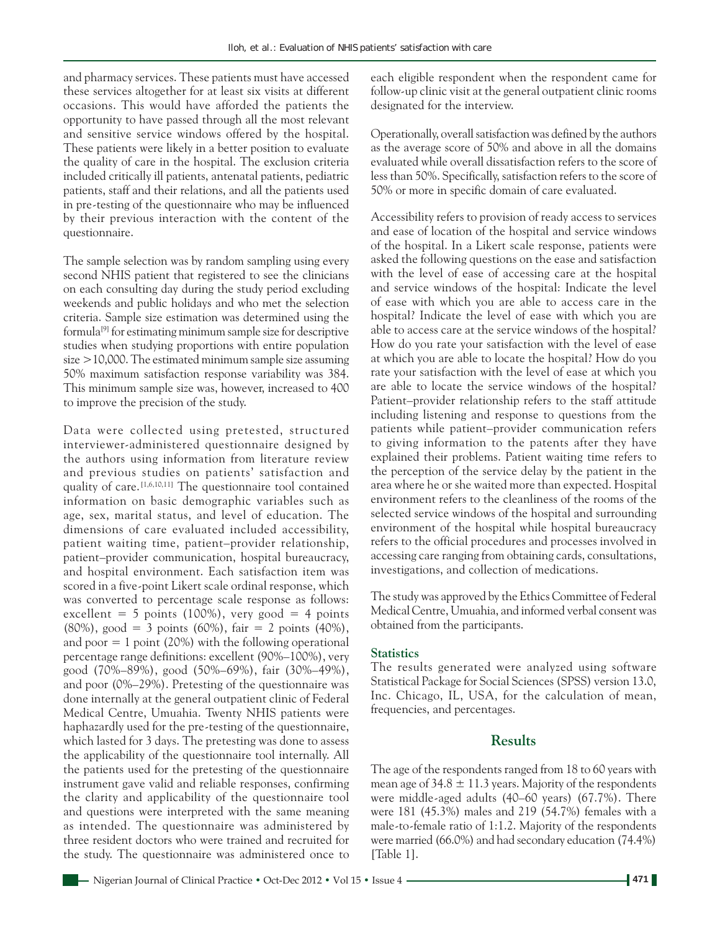and pharmacy services. These patients must have accessed these services altogether for at least six visits at different occasions. This would have afforded the patients the opportunity to have passed through all the most relevant and sensitive service windows offered by the hospital. These patients were likely in a better position to evaluate the quality of care in the hospital. The exclusion criteria included critically ill patients, antenatal patients, pediatric patients, staff and their relations, and all the patients used in pre-testing of the questionnaire who may be influenced by their previous interaction with the content of the questionnaire.

The sample selection was by random sampling using every second NHIS patient that registered to see the clinicians on each consulting day during the study period excluding weekends and public holidays and who met the selection criteria. Sample size estimation was determined using the formula[9] for estimating minimum sample size for descriptive studies when studying proportions with entire population size >10,000. The estimated minimum sample size assuming 50% maximum satisfaction response variability was 384. This minimum sample size was, however, increased to 400 to improve the precision of the study.

Data were collected using pretested, structured interviewer-administered questionnaire designed by the authors using information from literature review and previous studies on patients' satisfaction and quality of care.<sup>[1,6,10,11]</sup> The questionnaire tool contained information on basic demographic variables such as age, sex, marital status, and level of education. The dimensions of care evaluated included accessibility, patient waiting time, patient–provider relationship, patient–provider communication, hospital bureaucracy, and hospital environment. Each satisfaction item was scored in a five-point Likert scale ordinal response, which was converted to percentage scale response as follows: excellent = 5 points (100%), very good = 4 points  $(80\%)$ , good = 3 points  $(60\%)$ , fair = 2 points  $(40\%)$ , and poor  $= 1$  point (20%) with the following operational percentage range definitions: excellent (90%–100%), very good (70%–89%), good (50%–69%), fair (30%–49%), and poor (0%–29%). Pretesting of the questionnaire was done internally at the general outpatient clinic of Federal Medical Centre, Umuahia. Twenty NHIS patients were haphazardly used for the pre-testing of the questionnaire, which lasted for 3 days. The pretesting was done to assess the applicability of the questionnaire tool internally. All the patients used for the pretesting of the questionnaire instrument gave valid and reliable responses, confirming the clarity and applicability of the questionnaire tool and questions were interpreted with the same meaning as intended. The questionnaire was administered by three resident doctors who were trained and recruited for the study. The questionnaire was administered once to each eligible respondent when the respondent came for follow-up clinic visit at the general outpatient clinic rooms designated for the interview.

Operationally, overall satisfaction was defined by the authors as the average score of 50% and above in all the domains evaluated while overall dissatisfaction refers to the score of less than 50%. Specifically, satisfaction refers to the score of 50% or more in specific domain of care evaluated.

Accessibility refers to provision of ready access to services and ease of location of the hospital and service windows of the hospital. In a Likert scale response, patients were asked the following questions on the ease and satisfaction with the level of ease of accessing care at the hospital and service windows of the hospital: Indicate the level of ease with which you are able to access care in the hospital? Indicate the level of ease with which you are able to access care at the service windows of the hospital? How do you rate your satisfaction with the level of ease at which you are able to locate the hospital? How do you rate your satisfaction with the level of ease at which you are able to locate the service windows of the hospital? Patient–provider relationship refers to the staff attitude including listening and response to questions from the patients while patient–provider communication refers to giving information to the patents after they have explained their problems. Patient waiting time refers to the perception of the service delay by the patient in the area where he or she waited more than expected. Hospital environment refers to the cleanliness of the rooms of the selected service windows of the hospital and surrounding environment of the hospital while hospital bureaucracy refers to the official procedures and processes involved in accessing care ranging from obtaining cards, consultations, investigations, and collection of medications.

The study was approved by the Ethics Committee of Federal Medical Centre, Umuahia, and informed verbal consent was obtained from the participants.

## **Statistics**

The results generated were analyzed using software Statistical Package for Social Sciences (SPSS) version 13.0, Inc. Chicago, IL, USA, for the calculation of mean, frequencies, and percentages.

## **Results**

The age of the respondents ranged from 18 to 60 years with mean age of  $34.8 \pm 11.3$  years. Majority of the respondents were middle-aged adults (40–60 years) (67.7%). There were 181 (45.3%) males and 219 (54.7%) females with a male-to-female ratio of 1:1.2. Majority of the respondents were married (66.0%) and had secondary education (74.4%) [Table 1].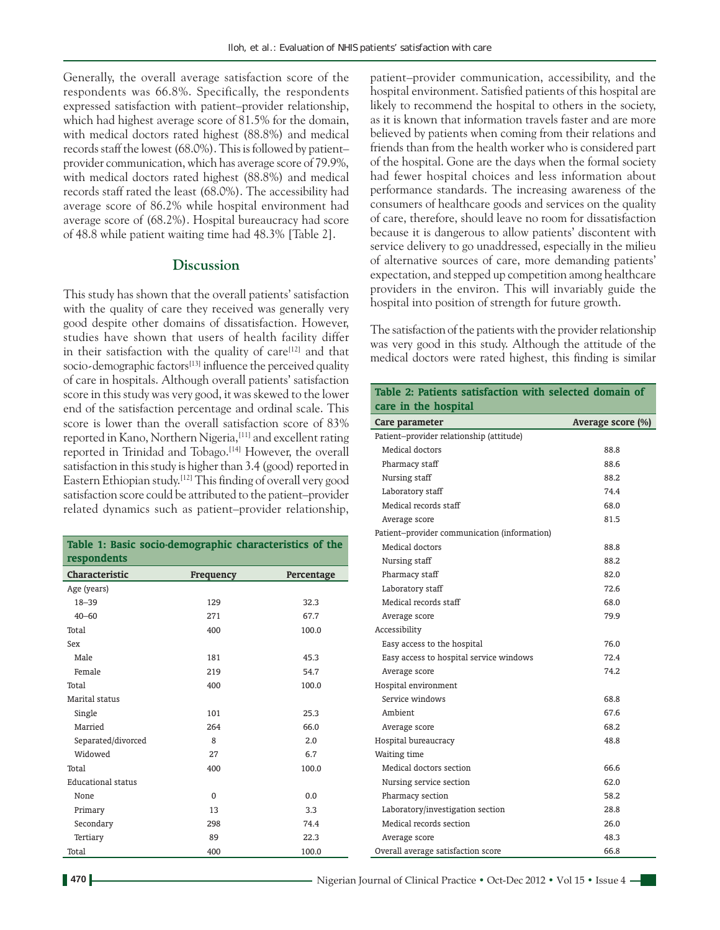Generally, the overall average satisfaction score of the respondents was 66.8%. Specifically, the respondents expressed satisfaction with patient–provider relationship, which had highest average score of 81.5% for the domain, with medical doctors rated highest (88.8%) and medical records staff the lowest (68.0%). This is followed by patient– provider communication, which has average score of 79.9%, with medical doctors rated highest (88.8%) and medical records staff rated the least (68.0%). The accessibility had average score of 86.2% while hospital environment had average score of (68.2%). Hospital bureaucracy had score of 48.8 while patient waiting time had 48.3% [Table 2].

## **Discussion**

This study has shown that the overall patients' satisfaction with the quality of care they received was generally very good despite other domains of dissatisfaction. However, studies have shown that users of health facility differ in their satisfaction with the quality of care $[12]$  and that socio-demographic factors<sup>[13]</sup> influence the perceived quality of care in hospitals. Although overall patients' satisfaction score in this study was very good, it was skewed to the lower end of the satisfaction percentage and ordinal scale. This score is lower than the overall satisfaction score of 83% reported in Kano, Northern Nigeria,<sup>[11]</sup> and excellent rating reported in Trinidad and Tobago.<sup>[14]</sup> However, the overall satisfaction in this study is higher than 3.4 (good) reported in Eastern Ethiopian study.[12] This finding of overall very good satisfaction score could be attributed to the patient–provider related dynamics such as patient–provider relationship,

| Table 1: Basic socio-demographic characteristics of the |              |            |
|---------------------------------------------------------|--------------|------------|
| respondents                                             |              |            |
| Characteristic                                          | Frequency    | Percentage |
| Age (years)                                             |              |            |
| $18 - 39$                                               | 129          | 32.3       |
| $40 - 60$                                               | 271          | 67.7       |
| Total                                                   | 400          | 100.0      |
| Sex                                                     |              |            |
| Male                                                    | 181          | 45.3       |
| Female                                                  | 219          | 54.7       |
| Total                                                   | 400          | 100.0      |
| Marital status                                          |              |            |
| Single                                                  | 101          | 25.3       |
| Married                                                 | 264          | 66.0       |
| Separated/divorced                                      | 8            | 2.0        |
| Widowed                                                 | 27           | 6.7        |
| Total                                                   | 400          | 100.0      |
| <b>Educational status</b>                               |              |            |
| None                                                    | $\mathbf{0}$ | 0.0        |
| Primary                                                 | 13           | 3.3        |
| Secondary                                               | 298          | 74.4       |
| Tertiary                                                | 89           | 22.3       |
| Total                                                   | 400          | 100.0      |

patient–provider communication, accessibility, and the hospital environment. Satisfied patients of this hospital are likely to recommend the hospital to others in the society, as it is known that information travels faster and are more believed by patients when coming from their relations and friends than from the health worker who is considered part of the hospital. Gone are the days when the formal society had fewer hospital choices and less information about performance standards. The increasing awareness of the consumers of healthcare goods and services on the quality of care, therefore, should leave no room for dissatisfaction because it is dangerous to allow patients' discontent with service delivery to go unaddressed, especially in the milieu of alternative sources of care, more demanding patients' expectation, and stepped up competition among healthcare providers in the environ. This will invariably guide the hospital into position of strength for future growth.

The satisfaction of the patients with the provider relationship was very good in this study. Although the attitude of the medical doctors were rated highest, this finding is similar

| Table 2: Patients satisfaction with selected domain of |                   |  |
|--------------------------------------------------------|-------------------|--|
| care in the hospital                                   |                   |  |
| Care parameter                                         | Average score (%) |  |
| Patient-provider relationship (attitude)               |                   |  |
| Medical doctors                                        | 88.8              |  |
| Pharmacy staff                                         | 88.6              |  |
| Nursing staff                                          | 88.2              |  |
| Laboratory staff                                       | 744               |  |
| Medical records staff                                  | 68.0              |  |
| Average score                                          | 81.5              |  |
| Patient-provider communication (information)           |                   |  |
| Medical doctors                                        | 88.8              |  |
| Nursing staff                                          | 88.2              |  |
| Pharmacy staff                                         | 82.0              |  |
| Laboratory staff                                       | 72.6              |  |
| Medical records staff                                  | 68.0              |  |
| Average score                                          | 79.9              |  |
| Accessibility                                          |                   |  |
| Easy access to the hospital                            | 76.0              |  |
| Easy access to hospital service windows                | 72.4              |  |
| Average score                                          | 74.2              |  |
| Hospital environment                                   |                   |  |
| Service windows                                        | 68.8              |  |
| Ambient                                                | 67.6              |  |
| Average score                                          | 68.2              |  |
| Hospital bureaucracy                                   | 48.8              |  |
| Waiting time                                           |                   |  |
| Medical doctors section                                | 66.6              |  |
| Nursing service section                                | 62.0              |  |
| Pharmacy section                                       | 58.2              |  |
| Laboratory/investigation section                       | 28.8              |  |
| Medical records section                                | 26.0              |  |
| Average score                                          | 48.3              |  |
| Overall average satisfaction score                     | 66.8              |  |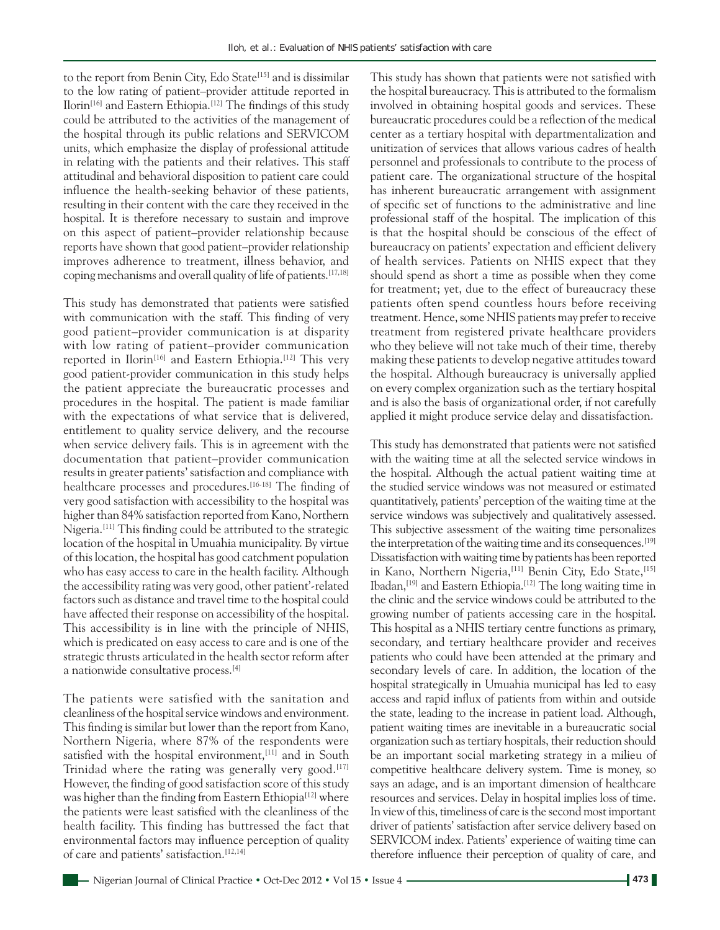to the report from Benin City, Edo State<sup>[15]</sup> and is dissimilar to the low rating of patient–provider attitude reported in Ilorin<sup>[16]</sup> and Eastern Ethiopia.<sup>[12]</sup> The findings of this study could be attributed to the activities of the management of the hospital through its public relations and SERVICOM units, which emphasize the display of professional attitude in relating with the patients and their relatives. This staff attitudinal and behavioral disposition to patient care could influence the health-seeking behavior of these patients, resulting in their content with the care they received in the hospital. It is therefore necessary to sustain and improve on this aspect of patient–provider relationship because reports have shown that good patient–provider relationship improves adherence to treatment, illness behavior, and coping mechanisms and overall quality of life of patients.[17,18]

This study has demonstrated that patients were satisfied with communication with the staff. This finding of very good patient–provider communication is at disparity with low rating of patient–provider communication reported in Ilorin<sup>[16]</sup> and Eastern Ethiopia.<sup>[12]</sup> This very good patient-provider communication in this study helps the patient appreciate the bureaucratic processes and procedures in the hospital. The patient is made familiar with the expectations of what service that is delivered, entitlement to quality service delivery, and the recourse when service delivery fails. This is in agreement with the documentation that patient–provider communication results in greater patients' satisfaction and compliance with healthcare processes and procedures.<sup>[16-18]</sup> The finding of very good satisfaction with accessibility to the hospital was higher than 84% satisfaction reported from Kano, Northern Nigeria.<sup>[11]</sup> This finding could be attributed to the strategic location of the hospital in Umuahia municipality. By virtue of this location, the hospital has good catchment population who has easy access to care in the health facility. Although the accessibility rating was very good, other patient'-related factors such as distance and travel time to the hospital could have affected their response on accessibility of the hospital. This accessibility is in line with the principle of NHIS, which is predicated on easy access to care and is one of the strategic thrusts articulated in the health sector reform after a nationwide consultative process.<sup>[4]</sup>

The patients were satisfied with the sanitation and cleanliness of the hospital service windows and environment. This finding is similar but lower than the report from Kano, Northern Nigeria, where 87% of the respondents were satisfied with the hospital environment,<sup>[11]</sup> and in South Trinidad where the rating was generally very good.<sup>[17]</sup> However, the finding of good satisfaction score of this study was higher than the finding from Eastern Ethiopia<sup>[12]</sup> where the patients were least satisfied with the cleanliness of the health facility. This finding has buttressed the fact that environmental factors may influence perception of quality of care and patients' satisfaction.<sup>[12,14]</sup>

This study has shown that patients were not satisfied with the hospital bureaucracy. This is attributed to the formalism involved in obtaining hospital goods and services. These bureaucratic procedures could be a reflection of the medical center as a tertiary hospital with departmentalization and unitization of services that allows various cadres of health personnel and professionals to contribute to the process of patient care. The organizational structure of the hospital has inherent bureaucratic arrangement with assignment of specific set of functions to the administrative and line professional staff of the hospital. The implication of this is that the hospital should be conscious of the effect of bureaucracy on patients' expectation and efficient delivery of health services. Patients on NHIS expect that they should spend as short a time as possible when they come for treatment; yet, due to the effect of bureaucracy these patients often spend countless hours before receiving treatment. Hence, some NHIS patients may prefer to receive treatment from registered private healthcare providers who they believe will not take much of their time, thereby making these patients to develop negative attitudes toward the hospital. Although bureaucracy is universally applied on every complex organization such as the tertiary hospital and is also the basis of organizational order, if not carefully applied it might produce service delay and dissatisfaction.

This study has demonstrated that patients were not satisfied with the waiting time at all the selected service windows in the hospital. Although the actual patient waiting time at the studied service windows was not measured or estimated quantitatively, patients' perception of the waiting time at the service windows was subjectively and qualitatively assessed. This subjective assessment of the waiting time personalizes the interpretation of the waiting time and its consequences.<sup>[19]</sup> Dissatisfaction with waiting time by patients has been reported in Kano, Northern Nigeria,<sup>[11]</sup> Benin City, Edo State,<sup>[15]</sup> Ibadan,<sup>[19]</sup> and Eastern Ethiopia.<sup>[12]</sup> The long waiting time in the clinic and the service windows could be attributed to the growing number of patients accessing care in the hospital. This hospital as a NHIS tertiary centre functions as primary, secondary, and tertiary healthcare provider and receives patients who could have been attended at the primary and secondary levels of care. In addition, the location of the hospital strategically in Umuahia municipal has led to easy access and rapid influx of patients from within and outside the state, leading to the increase in patient load. Although, patient waiting times are inevitable in a bureaucratic social organization such as tertiary hospitals, their reduction should be an important social marketing strategy in a milieu of competitive healthcare delivery system. Time is money, so says an adage, and is an important dimension of healthcare resources and services. Delay in hospital implies loss of time. In view of this, timeliness of care is the second most important driver of patients' satisfaction after service delivery based on SERVICOM index. Patients' experience of waiting time can therefore influence their perception of quality of care, and